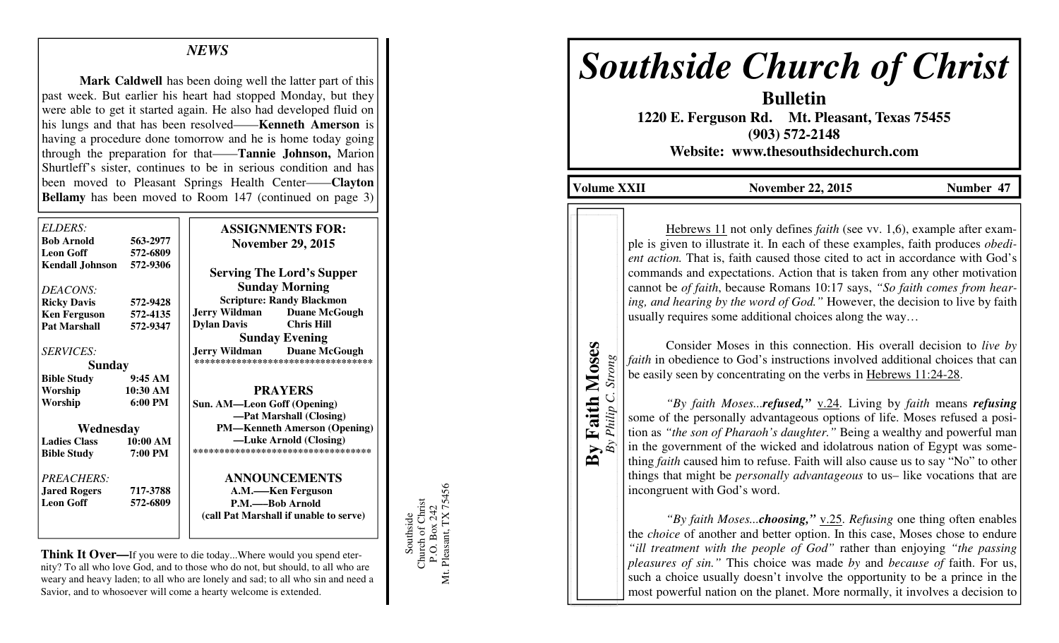### *NEWS*

 **Mark Caldwell** has been doing well the latter part of this past week. But earlier his heart had stopped Monday, but they were able to get it started again. He also had developed fluid on his lungs and that has been resolved——**Kenneth Amerson** is having a procedure done tomorrow and he is home today going through the preparation for that——**Tannie Johnson,** Marion Shurtleff's sister, continues to be in serious condition and has been moved to Pleasant Springs Health Center——**Clayton Bellamy** has been moved to Room 147 (continued on page 3)

| ELDERS:<br><b>Bob Arnold</b> | 563-2977          | <b>ASSIGNMENTS FOR:</b>                      |
|------------------------------|-------------------|----------------------------------------------|
| <b>Leon Goff</b>             | 572-6809          | <b>November 29, 2015</b>                     |
| Kendall Johnson              | 572-9306          | <b>Serving The Lord's Supper</b>             |
| DEACONS:                     |                   | <b>Sunday Morning</b>                        |
| <b>Ricky Davis</b>           | 572-9428          | <b>Scripture: Randy Blackmon</b>             |
| <b>Ken Ferguson</b>          | 572-4135          | <b>Jerry Wildman</b><br><b>Duane McGough</b> |
| <b>Pat Marshall</b>          | 572-9347          | <b>Chris Hill</b><br><b>Dylan Davis</b>      |
|                              |                   | <b>Sunday Evening</b>                        |
| <b>SERVICES:</b>             |                   | <b>Jerry Wildman</b> Duane McGough           |
| Sunday                       |                   | ***********************************          |
| <b>Bible Study</b>           | 9:45AM            |                                              |
| Worship                      | 10:30 AM          | <b>PRAYERS</b>                               |
| Worship                      | $6:00 \text{ PM}$ | Sun. AM—Leon Goff (Opening)                  |
|                              |                   | -Pat Marshall (Closing)                      |
| Wednesday                    |                   | <b>PM—Kenneth Amerson (Opening)</b>          |
| <b>Ladies Class</b>          | 10:00 AM          | —Luke Arnold (Closing)                       |
| <b>Bible Study</b>           | 7:00 PM           | ***********************************          |
| PREACHERS:                   |                   | <b>ANNOUNCEMENTS</b>                         |
| <b>Jared Rogers</b>          | 717-3788          | A.M.—–Ken Ferguson                           |
| <b>Leon Goff</b>             | 572-6809          | P.M.——Bob Arnold                             |
|                              |                   | (call Pat Marshall if unable to serve)       |
|                              |                   |                                              |

**Think It Over—**If you were to die today...Where would you spend eternity? To all who love God, and to those who do not, but should, to all who are weary and heavy laden; to all who are lonely and sad; to all who sin and need a Savior, and to whosoever will come a hearty welcome is extended.

Southside<br>Church of Christ<br>P.O. Box 242<br>Mt. Pleasant, TX 75456 Mt. Pleasant, TX 75456 Church of Christ P.O. Box 242 Southside

# *Southside Church of Christ*

**Bulletin 1220 E. Ferguson Rd. Mt. Pleasant, Texas 75455 (903) 572-2148** 

**Website: www.thesouthsidechurch.com** 

**Volume XXII November 22, 2015 Number 47** 

**By Faith Moses**  *By Philip C. Strong*

Strong

By Philip C.

**Faith Moses** 

By

 Hebrews 11 not only defines *faith* (see vv. 1,6), example after example is given to illustrate it. In each of these examples, faith produces *obedient action*. That is, faith caused those cited to act in accordance with God's commands and expectations. Action that is taken from any other motivation cannot be *of faith*, because Romans 10:17 says, *"So faith comes from hearing, and hearing by the word of God."* However, the decision to live by faith usually requires some additional choices along the way…

 Consider Moses in this connection. His overall decision to *live by faith* in obedience to God's instructions involved additional choices that can be easily seen by concentrating on the verbs in Hebrews 11:24-28.

*"By faith Moses...refused,"* v.24. Living by *faith* means *refusing* some of the personally advantageous options of life. Moses refused a position as *"the son of Pharaoh's daughter."* Being a wealthy and powerful man in the government of the wicked and idolatrous nation of Egypt was something *faith* caused him to refuse. Faith will also cause us to say "No" to other things that might be *personally advantageous* to us– like vocations that are incongruent with God's word.

*"By faith Moses...choosing,"* v.25. *Refusing* one thing often enables the *choice* of another and better option. In this case, Moses chose to endure *"ill treatment with the people of God"* rather than enjoying *"the passing pleasures of sin."* This choice was made *by* and *because of* faith. For us, such a choice usually doesn't involve the opportunity to be a prince in the most powerful nation on the planet. More normally, it involves a decision to